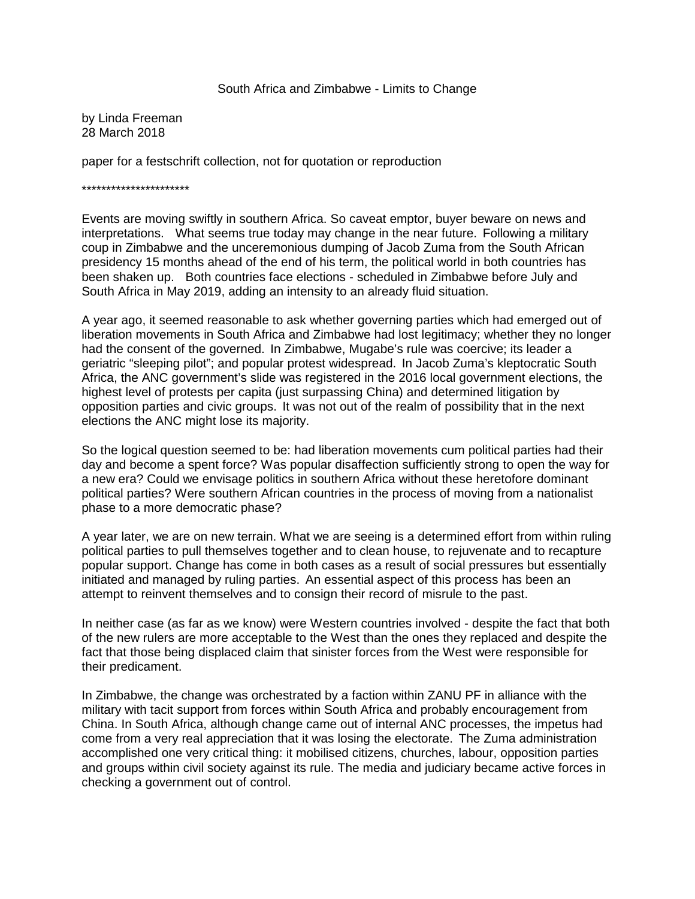#### South Africa and Zimbabwe - Limits to Change

by Linda Freeman 28 March 2018

paper for a festschrift collection, not for quotation or reproduction

\*\*\*\*\*\*\*\*\*\*\*\*\*\*\*\*\*\*\*\*\*\*

Events are moving swiftly in southern Africa. So caveat emptor, buyer beware on news and interpretations. What seems true today may change in the near future. Following a military coup in Zimbabwe and the unceremonious dumping of Jacob Zuma from the South African presidency 15 months ahead of the end of his term, the political world in both countries has been shaken up. Both countries face elections - scheduled in Zimbabwe before July and South Africa in May 2019, adding an intensity to an already fluid situation.

A year ago, it seemed reasonable to ask whether governing parties which had emerged out of liberation movements in South Africa and Zimbabwe had lost legitimacy; whether they no longer had the consent of the governed. In Zimbabwe, Mugabe's rule was coercive; its leader a geriatric "sleeping pilot"; and popular protest widespread. In Jacob Zuma's kleptocratic South Africa, the ANC government's slide was registered in the 2016 local government elections, the highest level of protests per capita (just surpassing China) and determined litigation by opposition parties and civic groups. It was not out of the realm of possibility that in the next elections the ANC might lose its majority.

So the logical question seemed to be: had liberation movements cum political parties had their day and become a spent force? Was popular disaffection sufficiently strong to open the way for a new era? Could we envisage politics in southern Africa without these heretofore dominant political parties? Were southern African countries in the process of moving from a nationalist phase to a more democratic phase?

A year later, we are on new terrain. What we are seeing is a determined effort from within ruling political parties to pull themselves together and to clean house, to rejuvenate and to recapture popular support. Change has come in both cases as a result of social pressures but essentially initiated and managed by ruling parties. An essential aspect of this process has been an attempt to reinvent themselves and to consign their record of misrule to the past.

In neither case (as far as we know) were Western countries involved - despite the fact that both of the new rulers are more acceptable to the West than the ones they replaced and despite the fact that those being displaced claim that sinister forces from the West were responsible for their predicament.

In Zimbabwe, the change was orchestrated by a faction within ZANU PF in alliance with the military with tacit support from forces within South Africa and probably encouragement from China. In South Africa, although change came out of internal ANC processes, the impetus had come from a very real appreciation that it was losing the electorate. The Zuma administration accomplished one very critical thing: it mobilised citizens, churches, labour, opposition parties and groups within civil society against its rule. The media and judiciary became active forces in checking a government out of control.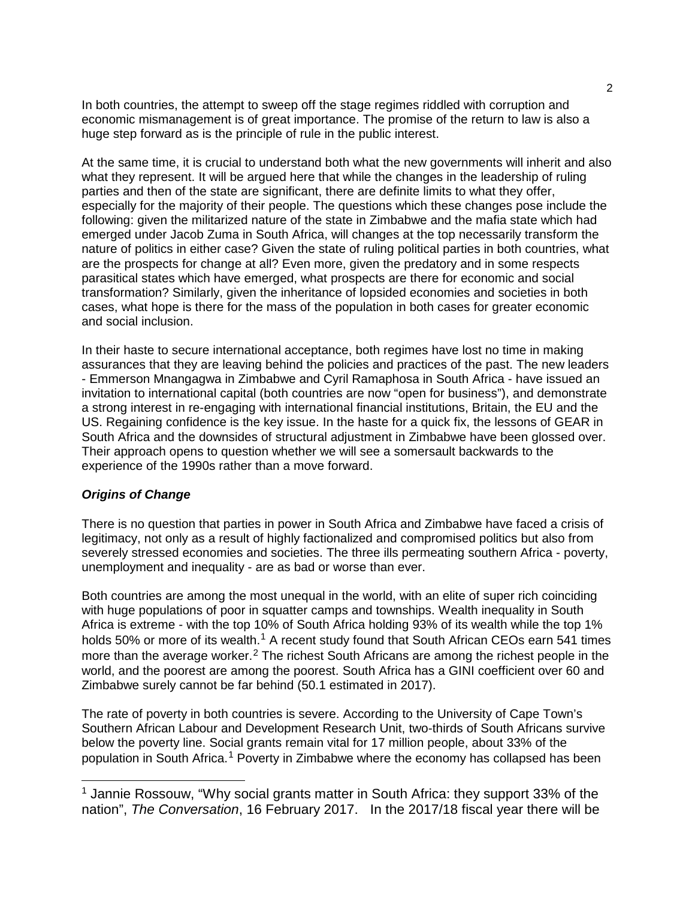In both countries, the attempt to sweep off the stage regimes riddled with corruption and economic mismanagement is of great importance. The promise of the return to law is also a huge step forward as is the principle of rule in the public interest.

At the same time, it is crucial to understand both what the new governments will inherit and also what they represent. It will be argued here that while the changes in the leadership of ruling parties and then of the state are significant, there are definite limits to what they offer, especially for the majority of their people. The questions which these changes pose include the following: given the militarized nature of the state in Zimbabwe and the mafia state which had emerged under Jacob Zuma in South Africa, will changes at the top necessarily transform the nature of politics in either case? Given the state of ruling political parties in both countries, what are the prospects for change at all? Even more, given the predatory and in some respects parasitical states which have emerged, what prospects are there for economic and social transformation? Similarly, given the inheritance of lopsided economies and societies in both cases, what hope is there for the mass of the population in both cases for greater economic and social inclusion.

In their haste to secure international acceptance, both regimes have lost no time in making assurances that they are leaving behind the policies and practices of the past. The new leaders - Emmerson Mnangagwa in Zimbabwe and Cyril Ramaphosa in South Africa - have issued an invitation to international capital (both countries are now "open for business"), and demonstrate a strong interest in re-engaging with international financial institutions, Britain, the EU and the US. Regaining confidence is the key issue. In the haste for a quick fix, the lessons of GEAR in South Africa and the downsides of structural adjustment in Zimbabwe have been glossed over. Their approach opens to question whether we will see a somersault backwards to the experience of the 1990s rather than a move forward.

# *Origins of Change*

There is no question that parties in power in South Africa and Zimbabwe have faced a crisis of legitimacy, not only as a result of highly factionalized and compromised politics but also from severely stressed economies and societies. The three ills permeating southern Africa - poverty, unemployment and inequality - are as bad or worse than ever.

Both countries are among the most unequal in the world, with an elite of super rich coinciding with huge populations of poor in squatter camps and townships. Wealth inequality in South Africa is extreme - with the top 10% of South Africa holding 93% of its wealth while the top 1% holds 50% or more of its wealth.<sup>[1](#page-19-0)</sup> A recent study found that South African CEOs earn 541 times more than the average worker.<sup>[2](#page-19-1)</sup> The richest South Africans are among the richest people in the world, and the poorest are among the poorest. South Africa has a GINI coefficient over 60 and Zimbabwe surely cannot be far behind (50.1 estimated in 2017).

The rate of poverty in both countries is severe. According to the University of Cape Town's Southern African Labour and Development Research Unit, two-thirds of South Africans survive below the poverty line. Social grants remain vital for 17 million people, about 33% of the population in South Africa.<sup>[1](#page-1-0)</sup> Poverty in Zimbabwe where the economy has collapsed has been

<span id="page-1-0"></span><sup>&</sup>lt;sup>1</sup> Jannie Rossouw, "Why social grants matter in South Africa: they support 33% of the nation", *The Conversation*, 16 February 2017. In the 2017/18 fiscal year there will be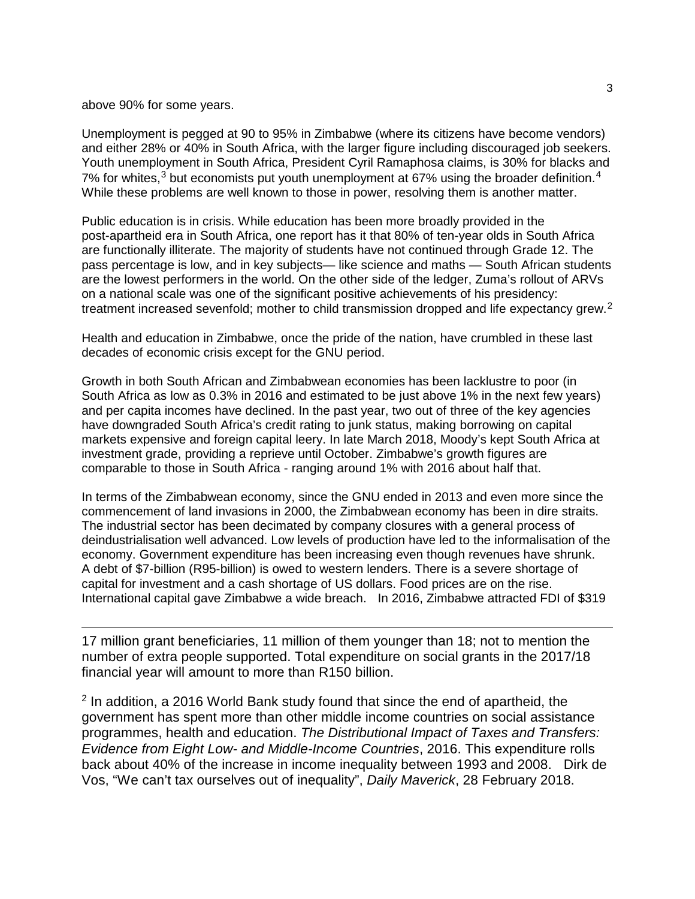#### above 90% for some years.

Unemployment is pegged at 90 to 95% in Zimbabwe (where its citizens have become vendors) and either 28% or 40% in South Africa, with the larger figure including discouraged job seekers. Youth unemployment in South Africa, President Cyril Ramaphosa claims, is 30% for blacks and 7% for whites,  $3$  but economists put youth unemployment at 67% using the broader definition.  $4$ While these problems are well known to those in power, resolving them is another matter.

Public education is in crisis. While education has been more broadly provided in the post-apartheid era in South Africa, one report has it that 80% of ten-year olds in South Africa are functionally illiterate. The majority of students have not continued through Grade 12. The pass percentage is low, and in key subjects— like science and maths — South African students are the lowest performers in the world. On the other side of the ledger, Zuma's rollout of ARVs on a national scale was one of the significant positive achievements of his presidency: treatment increased sevenfold; mother to child transmission dropped and life expectancy grew.<sup>[2](#page-2-0)</sup>

Health and education in Zimbabwe, once the pride of the nation, have crumbled in these last decades of economic crisis except for the GNU period.

Growth in both South African and Zimbabwean economies has been lacklustre to poor (in South Africa as low as 0.3% in 2016 and estimated to be just above 1% in the next few years) and per capita incomes have declined. In the past year, two out of three of the key agencies have downgraded South Africa's credit rating to junk status, making borrowing on capital markets expensive and foreign capital leery. In late March 2018, Moody's kept South Africa at investment grade, providing a reprieve until October. Zimbabwe's growth figures are comparable to those in South Africa - ranging around 1% with 2016 about half that.

In terms of the Zimbabwean economy, since the GNU ended in 2013 and even more since the commencement of land invasions in 2000, the Zimbabwean economy has been in dire straits. The industrial sector has been decimated by company closures with a general process of deindustrialisation well advanced. Low levels of production have led to the informalisation of the economy. Government expenditure has been increasing even though revenues have shrunk. A debt of \$7-billion (R95-billion) is owed to western lenders. There is a severe shortage of capital for investment and a cash shortage of US dollars. Food prices are on the rise. International capital gave Zimbabwe a wide breach. In 2016, Zimbabwe attracted FDI of \$319

17 million grant beneficiaries, 11 million of them younger than 18; not to mention the number of extra people supported. Total expenditure on social grants in the 2017/18 financial year will amount to more than R150 billion.

<span id="page-2-0"></span><sup>2</sup> In addition, a 2016 World Bank study found that since the end of apartheid, the government has spent more than other middle income countries on social assistance programmes, health and education. *The Distributional Impact of Taxes and Transfers: Evidence from Eight Low- and Middle-Income Countries*, 2016. This expenditure rolls back about 40% of the increase in income inequality between 1993 and 2008. Dirk de Vos, "We can't tax ourselves out of inequality", *Daily Maverick*, 28 February 2018.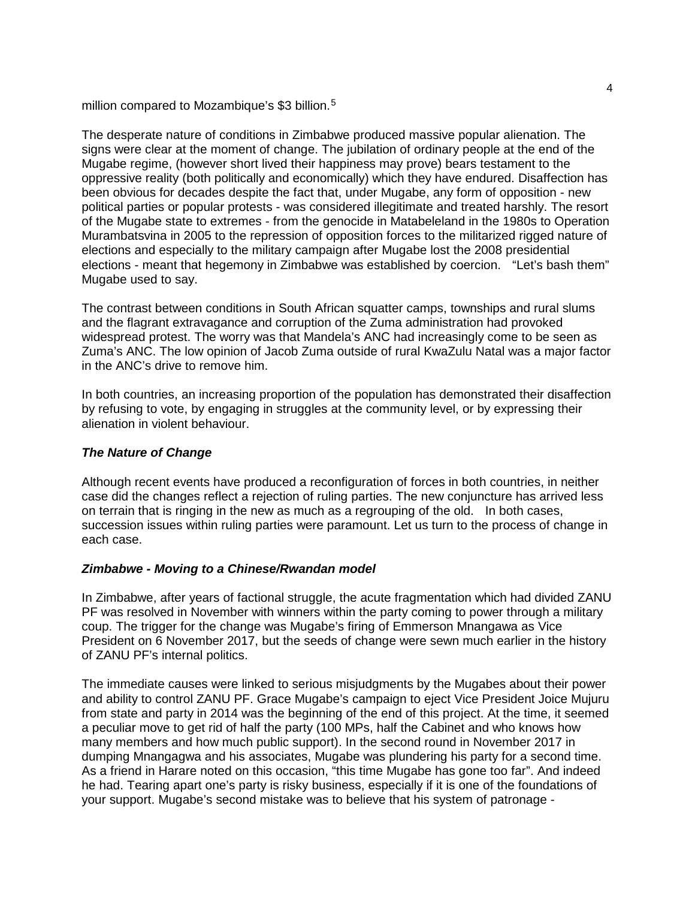million compared to Mozambique's \$3 billion.<sup>[5](#page-19-4)</sup>

The desperate nature of conditions in Zimbabwe produced massive popular alienation. The signs were clear at the moment of change. The jubilation of ordinary people at the end of the Mugabe regime, (however short lived their happiness may prove) bears testament to the oppressive reality (both politically and economically) which they have endured. Disaffection has been obvious for decades despite the fact that, under Mugabe, any form of opposition - new political parties or popular protests - was considered illegitimate and treated harshly. The resort of the Mugabe state to extremes - from the genocide in Matabeleland in the 1980s to Operation Murambatsvina in 2005 to the repression of opposition forces to the militarized rigged nature of elections and especially to the military campaign after Mugabe lost the 2008 presidential elections - meant that hegemony in Zimbabwe was established by coercion. "Let's bash them" Mugabe used to say.

The contrast between conditions in South African squatter camps, townships and rural slums and the flagrant extravagance and corruption of the Zuma administration had provoked widespread protest. The worry was that Mandela's ANC had increasingly come to be seen as Zuma's ANC. The low opinion of Jacob Zuma outside of rural KwaZulu Natal was a major factor in the ANC's drive to remove him.

In both countries, an increasing proportion of the population has demonstrated their disaffection by refusing to vote, by engaging in struggles at the community level, or by expressing their alienation in violent behaviour.

# *The Nature of Change*

Although recent events have produced a reconfiguration of forces in both countries, in neither case did the changes reflect a rejection of ruling parties. The new conjuncture has arrived less on terrain that is ringing in the new as much as a regrouping of the old. In both cases, succession issues within ruling parties were paramount. Let us turn to the process of change in each case.

#### *Zimbabwe - Moving to a Chinese/Rwandan model*

In Zimbabwe, after years of factional struggle, the acute fragmentation which had divided ZANU PF was resolved in November with winners within the party coming to power through a military coup. The trigger for the change was Mugabe's firing of Emmerson Mnangawa as Vice President on 6 November 2017, but the seeds of change were sewn much earlier in the history of ZANU PF's internal politics.

The immediate causes were linked to serious misjudgments by the Mugabes about their power and ability to control ZANU PF. Grace Mugabe's campaign to eject Vice President Joice Mujuru from state and party in 2014 was the beginning of the end of this project. At the time, it seemed a peculiar move to get rid of half the party (100 MPs, half the Cabinet and who knows how many members and how much public support). In the second round in November 2017 in dumping Mnangagwa and his associates, Mugabe was plundering his party for a second time. As a friend in Harare noted on this occasion, "this time Mugabe has gone too far". And indeed he had. Tearing apart one's party is risky business, especially if it is one of the foundations of your support. Mugabe's second mistake was to believe that his system of patronage -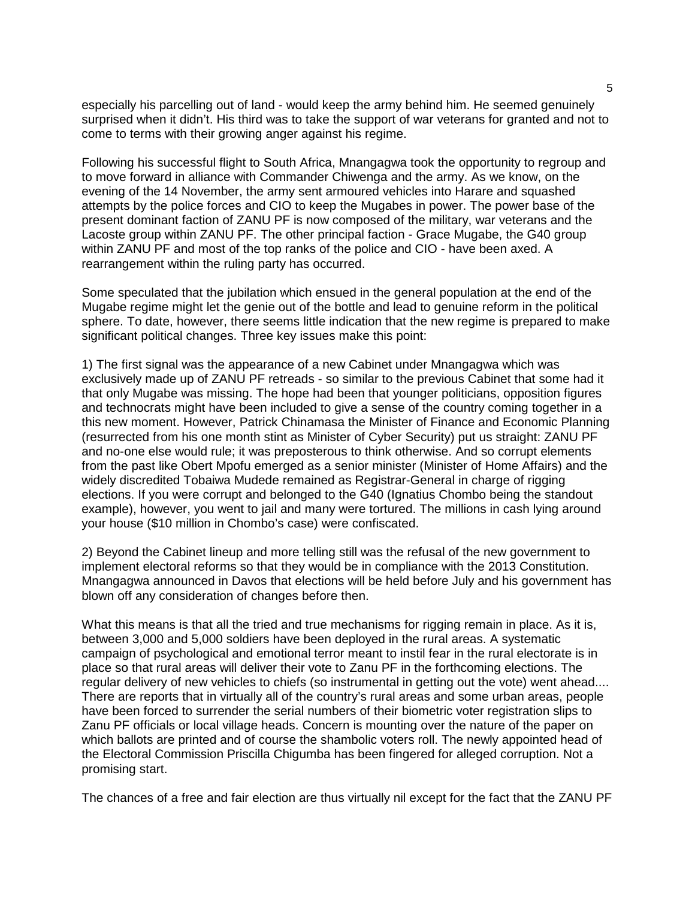especially his parcelling out of land - would keep the army behind him. He seemed genuinely surprised when it didn't. His third was to take the support of war veterans for granted and not to come to terms with their growing anger against his regime.

Following his successful flight to South Africa, Mnangagwa took the opportunity to regroup and to move forward in alliance with Commander Chiwenga and the army. As we know, on the evening of the 14 November, the army sent armoured vehicles into Harare and squashed attempts by the police forces and CIO to keep the Mugabes in power. The power base of the present dominant faction of ZANU PF is now composed of the military, war veterans and the Lacoste group within ZANU PF. The other principal faction - Grace Mugabe, the G40 group within ZANU PF and most of the top ranks of the police and CIO - have been axed. A rearrangement within the ruling party has occurred.

Some speculated that the jubilation which ensued in the general population at the end of the Mugabe regime might let the genie out of the bottle and lead to genuine reform in the political sphere. To date, however, there seems little indication that the new regime is prepared to make significant political changes. Three key issues make this point:

1) The first signal was the appearance of a new Cabinet under Mnangagwa which was exclusively made up of ZANU PF retreads - so similar to the previous Cabinet that some had it that only Mugabe was missing. The hope had been that younger politicians, opposition figures and technocrats might have been included to give a sense of the country coming together in a this new moment. However, Patrick Chinamasa the Minister of Finance and Economic Planning (resurrected from his one month stint as Minister of Cyber Security) put us straight: ZANU PF and no-one else would rule; it was preposterous to think otherwise. And so corrupt elements from the past like Obert Mpofu emerged as a senior minister (Minister of Home Affairs) and the widely discredited Tobaiwa Mudede remained as Registrar-General in charge of rigging elections. If you were corrupt and belonged to the G40 (Ignatius Chombo being the standout example), however, you went to jail and many were tortured. The millions in cash lying around your house (\$10 million in Chombo's case) were confiscated.

2) Beyond the Cabinet lineup and more telling still was the refusal of the new government to implement electoral reforms so that they would be in compliance with the 2013 Constitution. Mnangagwa announced in Davos that elections will be held before July and his government has blown off any consideration of changes before then.

What this means is that all the tried and true mechanisms for rigging remain in place. As it is, between 3,000 and 5,000 soldiers have been deployed in the rural areas. A systematic campaign of psychological and emotional terror meant to instil fear in the rural electorate is in place so that rural areas will deliver their vote to Zanu PF in the forthcoming elections. The regular delivery of new vehicles to chiefs (so instrumental in getting out the vote) went ahead.... There are reports that in virtually all of the country's rural areas and some urban areas, people have been forced to surrender the serial numbers of their biometric voter registration slips to Zanu PF officials or local village heads. Concern is mounting over the nature of the paper on which ballots are printed and of course the shambolic voters roll. The newly appointed head of the Electoral Commission Priscilla Chigumba has been fingered for alleged corruption. Not a promising start.

The chances of a free and fair election are thus virtually nil except for the fact that the ZANU PF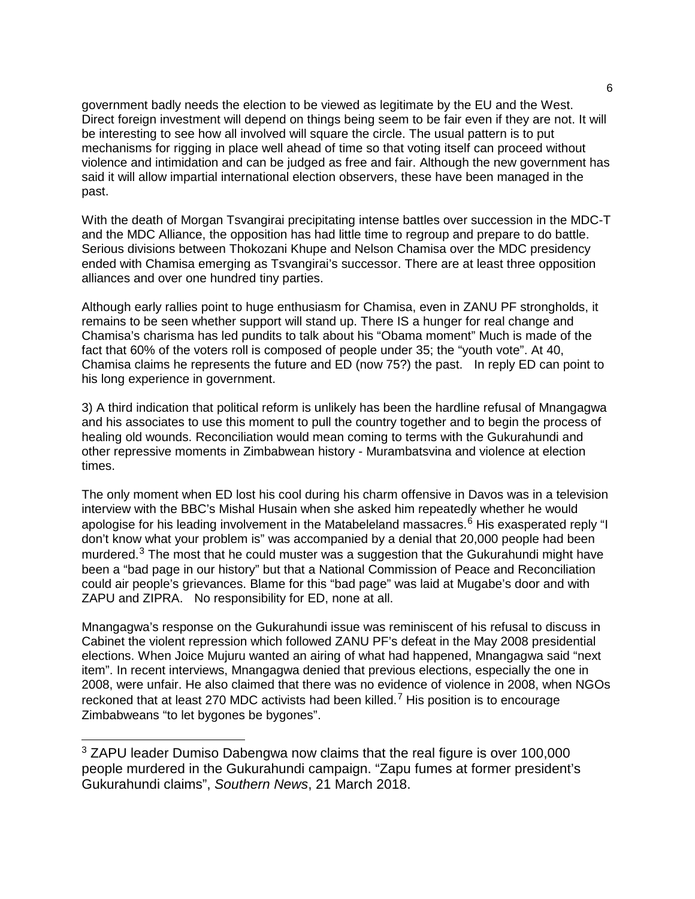government badly needs the election to be viewed as legitimate by the EU and the West. Direct foreign investment will depend on things being seem to be fair even if they are not. It will be interesting to see how all involved will square the circle. The usual pattern is to put mechanisms for rigging in place well ahead of time so that voting itself can proceed without violence and intimidation and can be judged as free and fair. Although the new government has said it will allow impartial international election observers, these have been managed in the past.

With the death of Morgan Tsvangirai precipitating intense battles over succession in the MDC-T and the MDC Alliance, the opposition has had little time to regroup and prepare to do battle. Serious divisions between Thokozani Khupe and Nelson Chamisa over the MDC presidency ended with Chamisa emerging as Tsvangirai's successor. There are at least three opposition alliances and over one hundred tiny parties.

Although early rallies point to huge enthusiasm for Chamisa, even in ZANU PF strongholds, it remains to be seen whether support will stand up. There IS a hunger for real change and Chamisa's charisma has led pundits to talk about his "Obama moment" Much is made of the fact that 60% of the voters roll is composed of people under 35; the "youth vote". At 40, Chamisa claims he represents the future and ED (now 75?) the past. In reply ED can point to his long experience in government.

3) A third indication that political reform is unlikely has been the hardline refusal of Mnangagwa and his associates to use this moment to pull the country together and to begin the process of healing old wounds. Reconciliation would mean coming to terms with the Gukurahundi and other repressive moments in Zimbabwean history - Murambatsvina and violence at election times.

The only moment when ED lost his cool during his charm offensive in Davos was in a television interview with the BBC's Mishal Husain when she asked him repeatedly whether he would apologise for his leading involvement in the Matabeleland massacres.<sup>[6](#page-19-5)</sup> His exasperated reply "I don't know what your problem is" was accompanied by a denial that 20,000 people had been murdered.<sup>[3](#page-5-0)</sup> The most that he could muster was a suggestion that the Gukurahundi might have been a "bad page in our history" but that a National Commission of Peace and Reconciliation could air people's grievances. Blame for this "bad page" was laid at Mugabe's door and with ZAPU and ZIPRA. No responsibility for ED, none at all.

Mnangagwa's response on the Gukurahundi issue was reminiscent of his refusal to discuss in Cabinet the violent repression which followed ZANU PF's defeat in the May 2008 presidential elections. When Joice Mujuru wanted an airing of what had happened, Mnangagwa said "next item". In recent interviews, Mnangagwa denied that previous elections, especially the one in 2008, were unfair. He also claimed that there was no evidence of violence in 2008, when NGOs reckoned that at least 2[7](#page-19-6)0 MDC activists had been killed.<sup>7</sup> His position is to encourage Zimbabweans "to let bygones be bygones".

<span id="page-5-0"></span> <sup>3</sup> ZAPU leader Dumiso Dabengwa now claims that the real figure is over 100,000 people murdered in the Gukurahundi campaign. "Zapu fumes at former president's Gukurahundi claims", *Southern News*, 21 March 2018.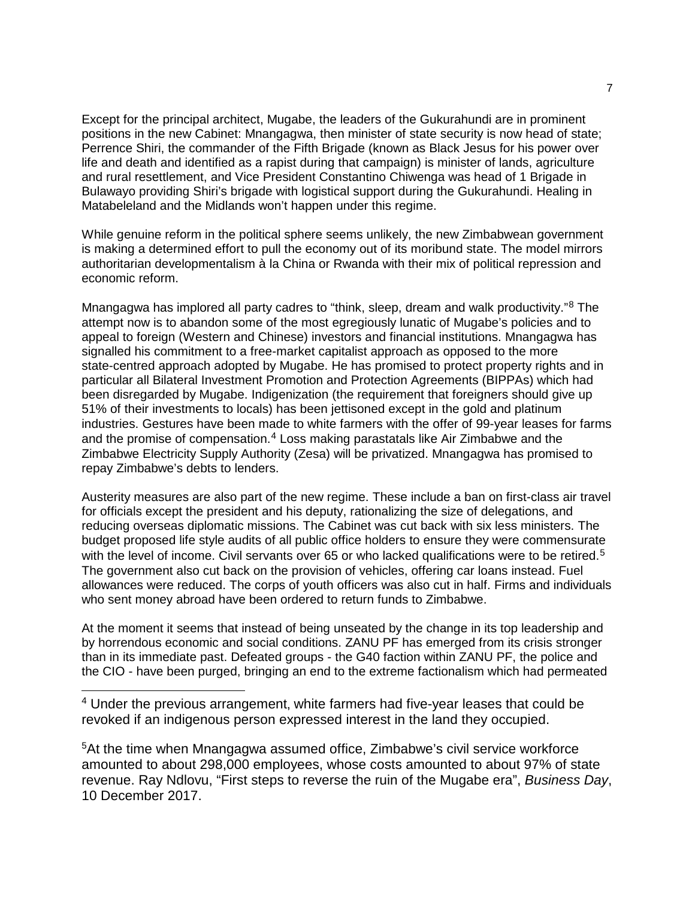Except for the principal architect, Mugabe, the leaders of the Gukurahundi are in prominent positions in the new Cabinet: Mnangagwa, then minister of state security is now head of state; Perrence Shiri, the commander of the Fifth Brigade (known as Black Jesus for his power over life and death and identified as a rapist during that campaign) is minister of lands, agriculture and rural resettlement, and Vice President Constantino Chiwenga was head of 1 Brigade in Bulawayo providing Shiri's brigade with logistical support during the Gukurahundi. Healing in Matabeleland and the Midlands won't happen under this regime.

While genuine reform in the political sphere seems unlikely, the new Zimbabwean government is making a determined effort to pull the economy out of its moribund state. The model mirrors authoritarian developmentalism à la China or Rwanda with their mix of political repression and economic reform.

Mnangagwa has implored all party cadres to "think, sleep, dream and walk productivity."<sup>[8](#page-19-7)</sup> The attempt now is to abandon some of the most egregiously lunatic of Mugabe's policies and to appeal to foreign (Western and Chinese) investors and financial institutions. Mnangagwa has signalled his commitment to a free-market capitalist approach as opposed to the more state-centred approach adopted by Mugabe. He has promised to protect property rights and in particular all Bilateral Investment Promotion and Protection Agreements (BIPPAs) which had been disregarded by Mugabe. Indigenization (the requirement that foreigners should give up 51% of their investments to locals) has been jettisoned except in the gold and platinum industries. Gestures have been made to white farmers with the offer of 99-year leases for farms and the promise of compensation. $4$  Loss making parastatals like Air Zimbabwe and the Zimbabwe Electricity Supply Authority (Zesa) will be privatized. Mnangagwa has promised to repay Zimbabwe's debts to lenders.

Austerity measures are also part of the new regime. These include a ban on first-class air travel for officials except the president and his deputy, rationalizing the size of delegations, and reducing overseas diplomatic missions. The Cabinet was cut back with six less ministers. The budget proposed life style audits of all public office holders to ensure they were commensurate with the level of income. Civil servants over 6[5](#page-6-1) or who lacked qualifications were to be retired.<sup>5</sup> The government also cut back on the provision of vehicles, offering car loans instead. Fuel allowances were reduced. The corps of youth officers was also cut in half. Firms and individuals who sent money abroad have been ordered to return funds to Zimbabwe.

At the moment it seems that instead of being unseated by the change in its top leadership and by horrendous economic and social conditions. ZANU PF has emerged from its crisis stronger than in its immediate past. Defeated groups - the G40 faction within ZANU PF, the police and the CIO - have been purged, bringing an end to the extreme factionalism which had permeated

<span id="page-6-0"></span><sup>4</sup> Under the previous arrangement, white farmers had five-year leases that could be revoked if an indigenous person expressed interest in the land they occupied.

<span id="page-6-1"></span>5At the time when Mnangagwa assumed office, Zimbabwe's civil service workforce amounted to about 298,000 employees, whose costs amounted to about 97% of state revenue. Ray Ndlovu, "First steps to reverse the ruin of the Mugabe era", *Business Day*, 10 December 2017.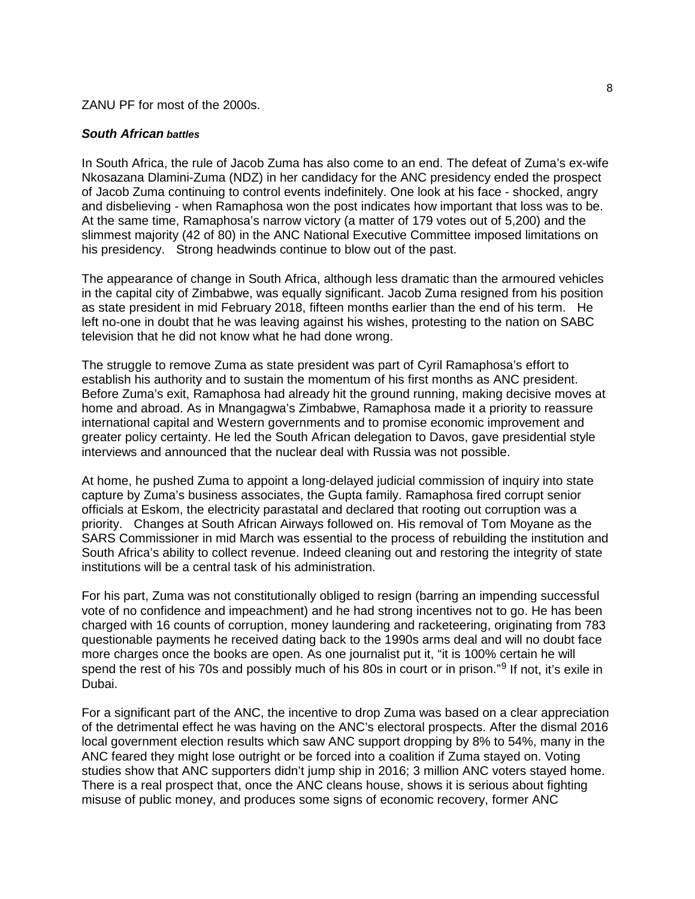#### ZANU PF for most of the 2000s.

#### *South African battles*

In South Africa, the rule of Jacob Zuma has also come to an end. The defeat of Zuma's ex-wife Nkosazana Dlamini-Zuma (NDZ) in her candidacy for the ANC presidency ended the prospect of Jacob Zuma continuing to control events indefinitely. One look at his face - shocked, angry and disbelieving - when Ramaphosa won the post indicates how important that loss was to be. At the same time, Ramaphosa's narrow victory (a matter of 179 votes out of 5,200) and the slimmest majority (42 of 80) in the ANC National Executive Committee imposed limitations on his presidency. Strong headwinds continue to blow out of the past.

The appearance of change in South Africa, although less dramatic than the armoured vehicles in the capital city of Zimbabwe, was equally significant. Jacob Zuma resigned from his position as state president in mid February 2018, fifteen months earlier than the end of his term. He left no-one in doubt that he was leaving against his wishes, protesting to the nation on SABC television that he did not know what he had done wrong.

The struggle to remove Zuma as state president was part of Cyril Ramaphosa's effort to establish his authority and to sustain the momentum of his first months as ANC president. Before Zuma's exit, Ramaphosa had already hit the ground running, making decisive moves at home and abroad. As in Mnangagwa's Zimbabwe, Ramaphosa made it a priority to reassure international capital and Western governments and to promise economic improvement and greater policy certainty. He led the South African delegation to Davos, gave presidential style interviews and announced that the nuclear deal with Russia was not possible.

At home, he pushed Zuma to appoint a long-delayed judicial commission of inquiry into state capture by Zuma's business associates, the Gupta family. Ramaphosa fired corrupt senior officials at Eskom, the electricity parastatal and declared that rooting out corruption was a priority. Changes at South African Airways followed on. His removal of Tom Moyane as the SARS Commissioner in mid March was essential to the process of rebuilding the institution and South Africa's ability to collect revenue. Indeed cleaning out and restoring the integrity of state institutions will be a central task of his administration.

For his part, Zuma was not constitutionally obliged to resign (barring an impending successful vote of no confidence and impeachment) and he had strong incentives not to go. He has been charged with 16 counts of corruption, money laundering and racketeering, originating from 783 questionable payments he received dating back to the 1990s arms deal and will no doubt face more charges once the books are open. As one journalist put it, "it is 100% certain he will spend the rest of his 70s and possibly much of his 80s in court or in prison."<sup>[9](#page-19-8)</sup> If not, it's exile in Dubai.

For a significant part of the ANC, the incentive to drop Zuma was based on a clear appreciation of the detrimental effect he was having on the ANC's electoral prospects. After the dismal 2016 local government election results which saw ANC support dropping by 8% to 54%, many in the ANC feared they might lose outright or be forced into a coalition if Zuma stayed on. Voting studies show that ANC supporters didn't jump ship in 2016; 3 million ANC voters stayed home. There is a real prospect that, once the ANC cleans house, shows it is serious about fighting misuse of public money, and produces some signs of economic recovery, former ANC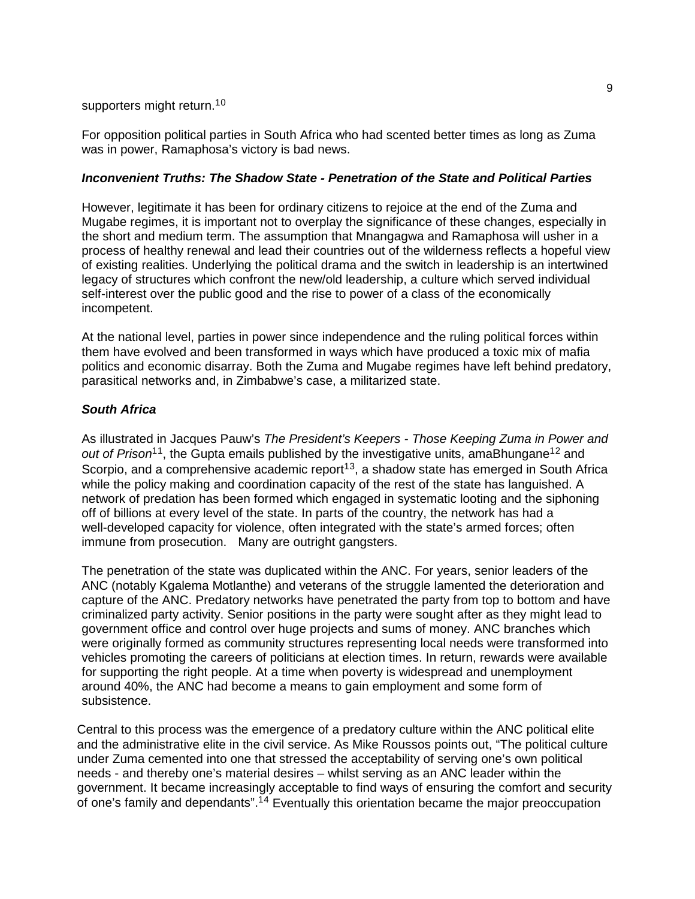# supporters might return.<sup>10</sup>

For opposition political parties in South Africa who had scented better times as long as Zuma was in power, Ramaphosa's victory is bad news.

# *Inconvenient Truths: The Shadow State - Penetration of the State and Political Parties*

However, legitimate it has been for ordinary citizens to rejoice at the end of the Zuma and Mugabe regimes, it is important not to overplay the significance of these changes, especially in the short and medium term. The assumption that Mnangagwa and Ramaphosa will usher in a process of healthy renewal and lead their countries out of the wilderness reflects a hopeful view of existing realities. Underlying the political drama and the switch in leadership is an intertwined legacy of structures which confront the new/old leadership, a culture which served individual self-interest over the public good and the rise to power of a class of the economically incompetent.

At the national level, parties in power since independence and the ruling political forces within them have evolved and been transformed in ways which have produced a toxic mix of mafia politics and economic disarray. Both the Zuma and Mugabe regimes have left behind predatory, parasitical networks and, in Zimbabwe's case, a militarized state.

# *South Africa*

As illustrated in Jacques Pauw's *The President's Keepers - Those Keeping Zuma in Power and*  out of Prison<sup>[1](#page-19-10)1</sup>, the Gupta emails published by the investigative units, amaBhungane<sup>1[2](#page-19-11)</sup> and Scorpio, and a comprehensive academic report<sup>13</sup>, a shadow state has emerged in South Africa while the policy making and coordination capacity of the rest of the state has languished. A network of predation has been formed which engaged in systematic looting and the siphoning off of billions at every level of the state. In parts of the country, the network has had a well-developed capacity for violence, often integrated with the state's armed forces; often immune from prosecution. Many are outright gangsters.

The penetration of the state was duplicated within the ANC. For years, senior leaders of the ANC (notably Kgalema Motlanthe) and veterans of the struggle lamented the deterioration and capture of the ANC. Predatory networks have penetrated the party from top to bottom and have criminalized party activity. Senior positions in the party were sought after as they might lead to government office and control over huge projects and sums of money. ANC branches which were originally formed as community structures representing local needs were transformed into vehicles promoting the careers of politicians at election times. In return, rewards were available for supporting the right people. At a time when poverty is widespread and unemployment around 40%, the ANC had become a means to gain employment and some form of subsistence.

Central to this process was the emergence of a predatory culture within the ANC political elite and the administrative elite in the civil service. As Mike Roussos points out, "The political culture under Zuma cemented into one that stressed the acceptability of serving one's own political needs - and thereby one's material desires – whilst serving as an ANC leader within the government. It became increasingly acceptable to find ways of ensuring the comfort and security of one's family and dependants".<sup>1[4](#page-19-13)</sup> Eventually this orientation became the major preoccupation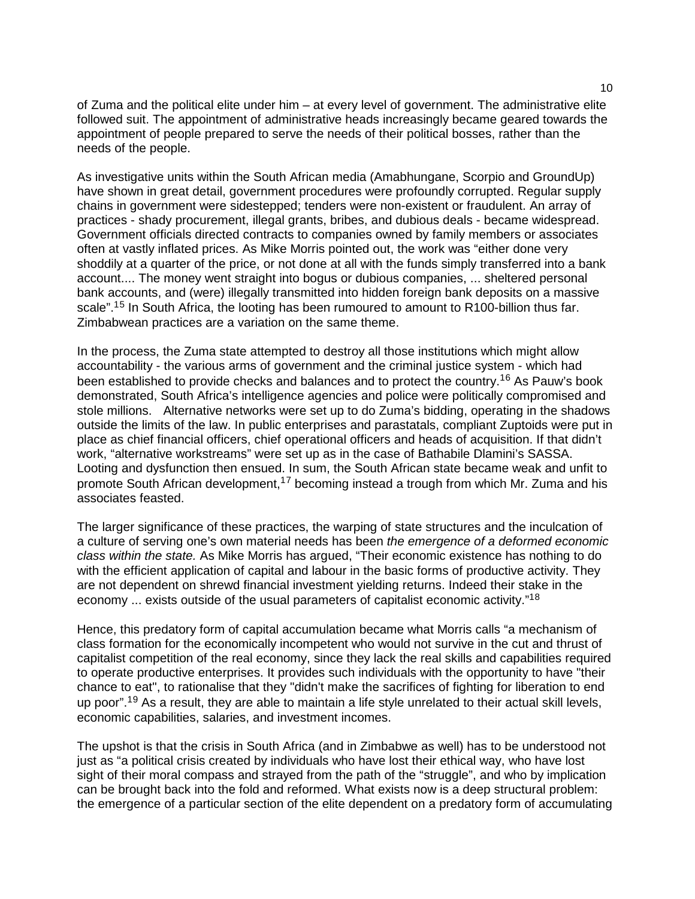of Zuma and the political elite under him – at every level of government. The administrative elite followed suit. The appointment of administrative heads increasingly became geared towards the appointment of people prepared to serve the needs of their political bosses, rather than the needs of the people.

As investigative units within the South African media (Amabhungane, Scorpio and GroundUp) have shown in great detail, government procedures were profoundly corrupted. Regular supply chains in government were sidestepped; tenders were non-existent or fraudulent. An array of practices - shady procurement, illegal grants, bribes, and dubious deals - became widespread. Government officials directed contracts to companies owned by family members or associates often at vastly inflated prices. As Mike Morris pointed out, the work was "either done very shoddily at a quarter of the price, or not done at all with the funds simply transferred into a bank account.... The money went straight into bogus or dubious companies, ... sheltered personal bank accounts, and (were) illegally transmitted into hidden foreign bank deposits on a massive scale".<sup>1[5](#page-19-14)</sup> In South Africa, the looting has been rumoured to amount to R100-billion thus far. Zimbabwean practices are a variation on the same theme.

In the process, the Zuma state attempted to destroy all those institutions which might allow accountability - the various arms of government and the criminal justice system - which had been established to provide checks and balances and to protect the country.<sup>1[6](#page-20-0)</sup> As Pauw's book demonstrated, South Africa's intelligence agencies and police were politically compromised and stole millions. Alternative networks were set up to do Zuma's bidding, operating in the shadows outside the limits of the law. In public enterprises and parastatals, compliant Zuptoids were put in place as chief financial officers, chief operational officers and heads of acquisition. If that didn't work, "alternative workstreams" were set up as in the case of Bathabile Dlamini's SASSA. Looting and dysfunction then ensued. In sum, the South African state became weak and unfit to promote South African development.<sup>1[7](#page-20-1)</sup> becoming instead a trough from which Mr. Zuma and his associates feasted.

The larger significance of these practices, the warping of state structures and the inculcation of a culture of serving one's own material needs has been *the emergence of a deformed economic class within the state.* As Mike Morris has argued, "Their economic existence has nothing to do with the efficient application of capital and labour in the basic forms of productive activity. They are not dependent on shrewd financial investment yielding returns. Indeed their stake in the economy ... exists outside of the usual parameters of capitalist economic activity."<sup>1[8](#page-20-2)</sup>

Hence, this predatory form of capital accumulation became what Morris calls "a mechanism of class formation for the economically incompetent who would not survive in the cut and thrust of capitalist competition of the real economy, since they lack the real skills and capabilities required to operate productive enterprises. It provides such individuals with the opportunity to have "their chance to eat", to rationalise that they "didn't make the sacrifices of fighting for liberation to end up poor".<sup>1[9](#page-20-3)</sup> As a result, they are able to maintain a life style unrelated to their actual skill levels, economic capabilities, salaries, and investment incomes.

The upshot is that the crisis in South Africa (and in Zimbabwe as well) has to be understood not just as "a political crisis created by individuals who have lost their ethical way, who have lost sight of their moral compass and strayed from the path of the "struggle", and who by implication can be brought back into the fold and reformed. What exists now is a deep structural problem: the emergence of a particular section of the elite dependent on a predatory form of accumulating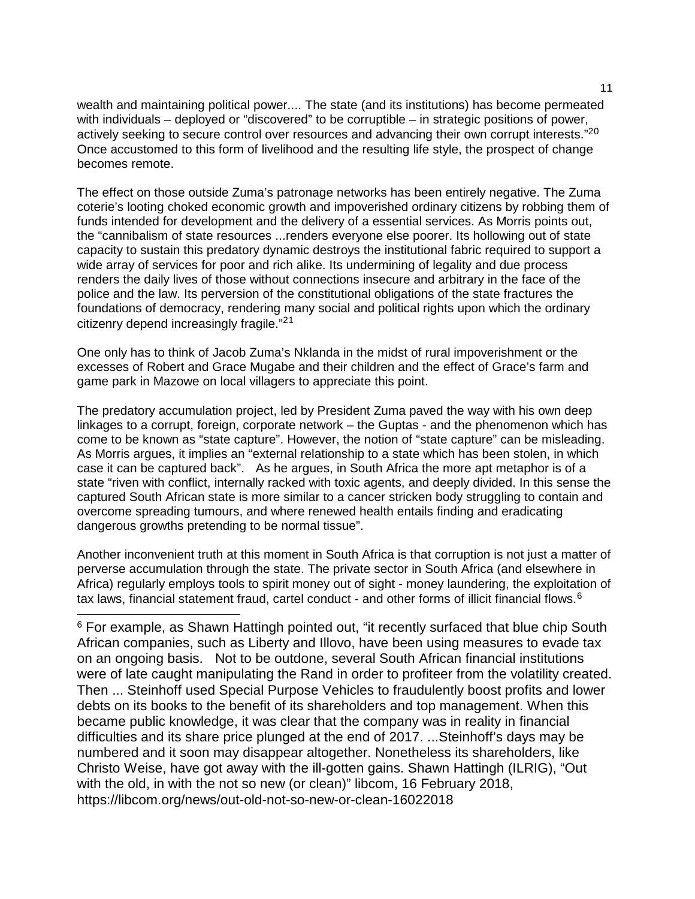wealth and maintaining political power.... The state (and its institutions) has become permeated with individuals – deployed or "discovered" to be corruptible – in strategic positions of power, actively seeking to secure control over resources and advancing their own corrupt interests."<sup>20</sup> Once accustomed to this form of livelihood and the resulting life style, the prospect of change becomes remote.

The effect on those outside Zuma's patronage networks has been entirely negative. The Zuma coterie's looting choked economic growth and impoverished ordinary citizens by robbing them of funds intended for development and the delivery of a essential services. As Morris points out, the "cannibalism of state resources ...renders everyone else poorer. Its hollowing out of state capacity to sustain this predatory dynamic destroys the institutional fabric required to support a wide array of services for poor and rich alike. Its undermining of legality and due process renders the daily lives of those without connections insecure and arbitrary in the face of the police and the law. Its perversion of the constitutional obligations of the state fractures the foundations of democracy, rendering many social and political rights upon which the ordinary citizenry depend increasingly fragile."<sup>2[1](#page-20-5)</sup>

One only has to think of Jacob Zuma's Nklanda in the midst of rural impoverishment or the excesses of Robert and Grace Mugabe and their children and the effect of Grace's farm and game park in Mazowe on local villagers to appreciate this point.

The predatory accumulation project, led by President Zuma paved the way with his own deep linkages to a corrupt, foreign, corporate network – the Guptas - and the phenomenon which has come to be known as "state capture". However, the notion of "state capture" can be misleading. As Morris argues, it implies an "external relationship to a state which has been stolen, in which case it can be captured back". As he argues, in South Africa the more apt metaphor is of a state "riven with conflict, internally racked with toxic agents, and deeply divided. In this sense the captured South African state is more similar to a cancer stricken body struggling to contain and overcome spreading tumours, and where renewed health entails finding and eradicating dangerous growths pretending to be normal tissue".

Another inconvenient truth at this moment in South Africa is that corruption is not just a matter of perverse accumulation through the state. The private sector in South Africa (and elsewhere in Africa) regularly employs tools to spirit money out of sight - money laundering, the exploitation of tax laws, financial statement fraud, cartel conduct - and other forms of illicit financial flows.<sup>[6](#page-10-0)</sup>

<span id="page-10-0"></span><sup>6</sup> For example, as Shawn Hattingh pointed out, "it recently surfaced that blue chip South African companies, such as Liberty and Illovo, have been using measures to evade tax on an ongoing basis. Not to be outdone, several South African financial institutions were of late caught manipulating the Rand in order to profiteer from the volatility created. Then ... Steinhoff used Special Purpose Vehicles to fraudulently boost profits and lower debts on its books to the benefit of its shareholders and top management. When this became public knowledge, it was clear that the company was in reality in financial difficulties and its share price plunged at the end of 2017. ...Steinhoff's days may be numbered and it soon may disappear altogether. Nonetheless its shareholders, like Christo Weise, have got away with the ill-gotten gains. Shawn Hattingh (ILRIG), "Out with the old, in with the not so new (or clean)" libcom, 16 February 2018, https://libcom.org/news/out-old-not-so-new-or-clean-16022018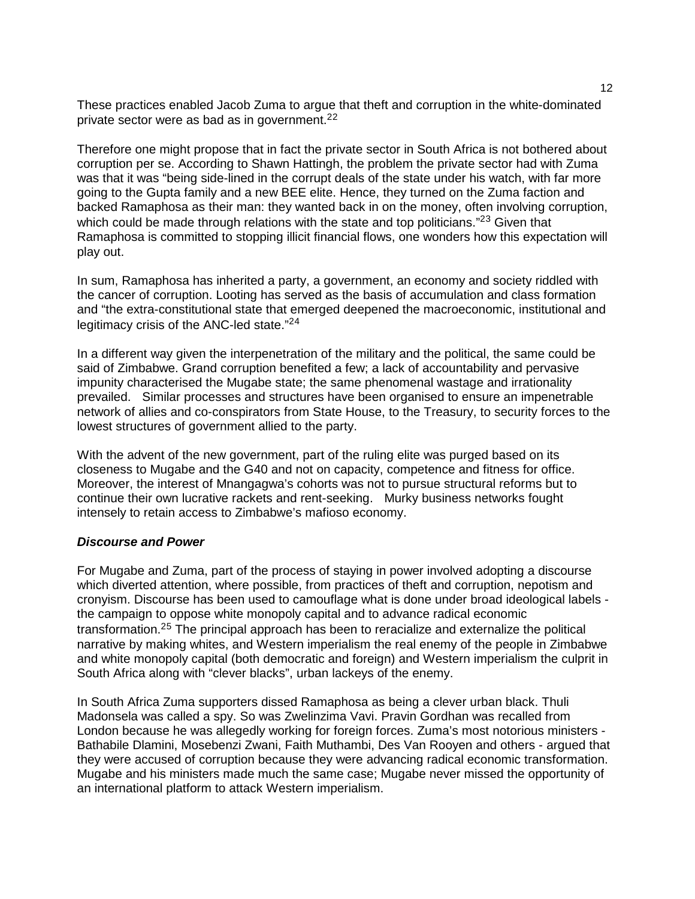These practices enabled Jacob Zuma to argue that theft and corruption in the white-dominated private sector were as bad as in government.<sup>[2](#page-20-6)2</sup>

Therefore one might propose that in fact the private sector in South Africa is not bothered about corruption per se. According to Shawn Hattingh, the problem the private sector had with Zuma was that it was "being side-lined in the corrupt deals of the state under his watch, with far more going to the Gupta family and a new BEE elite. Hence, they turned on the Zuma faction and backed Ramaphosa as their man: they wanted back in on the money, often involving corruption, which could be made through relations with the state and top politicians."<sup>2[3](#page-20-7)</sup> Given that Ramaphosa is committed to stopping illicit financial flows, one wonders how this expectation will play out.

In sum, Ramaphosa has inherited a party, a government, an economy and society riddled with the cancer of corruption. Looting has served as the basis of accumulation and class formation and "the extra-constitutional state that emerged deepened the macroeconomic, institutional and legitimacy crisis of the ANC-led state."<sup>2[4](#page-20-8)</sup>

In a different way given the interpenetration of the military and the political, the same could be said of Zimbabwe. Grand corruption benefited a few; a lack of accountability and pervasive impunity characterised the Mugabe state; the same phenomenal wastage and irrationality prevailed. Similar processes and structures have been organised to ensure an impenetrable network of allies and co-conspirators from State House, to the Treasury, to security forces to the lowest structures of government allied to the party.

With the advent of the new government, part of the ruling elite was purged based on its closeness to Mugabe and the G40 and not on capacity, competence and fitness for office. Moreover, the interest of Mnangagwa's cohorts was not to pursue structural reforms but to continue their own lucrative rackets and rent-seeking. Murky business networks fought intensely to retain access to Zimbabwe's mafioso economy.

# *Discourse and Power*

For Mugabe and Zuma, part of the process of staying in power involved adopting a discourse which diverted attention, where possible, from practices of theft and corruption, nepotism and cronyism. Discourse has been used to camouflage what is done under broad ideological labels the campaign to oppose white monopoly capital and to advance radical economic transformation.2[5](#page-20-9) The principal approach has been to reracialize and externalize the political narrative by making whites, and Western imperialism the real enemy of the people in Zimbabwe and white monopoly capital (both democratic and foreign) and Western imperialism the culprit in South Africa along with "clever blacks", urban lackeys of the enemy.

In South Africa Zuma supporters dissed Ramaphosa as being a clever urban black. Thuli Madonsela was called a spy. So was Zwelinzima Vavi. Pravin Gordhan was recalled from London because he was allegedly working for foreign forces. Zuma's most notorious ministers - Bathabile Dlamini, Mosebenzi Zwani, Faith Muthambi, Des Van Rooyen and others - argued that they were accused of corruption because they were advancing radical economic transformation. Mugabe and his ministers made much the same case; Mugabe never missed the opportunity of an international platform to attack Western imperialism.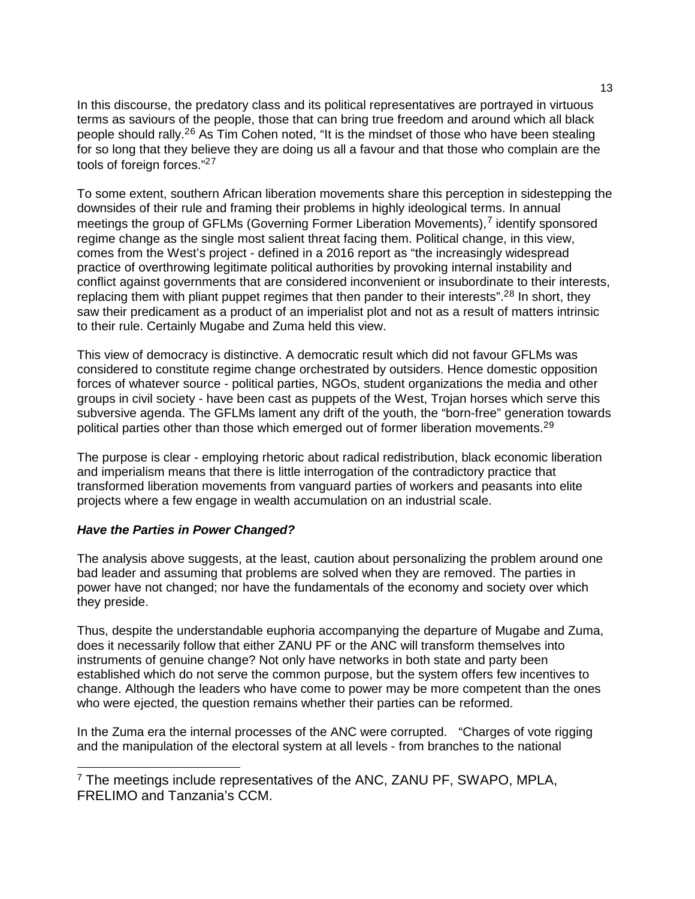In this discourse, the predatory class and its political representatives are portrayed in virtuous terms as saviours of the people, those that can bring true freedom and around which all black people should rally.<sup>2[6](#page-20-10)</sup> As Tim Cohen noted, "It is the mindset of those who have been stealing for so long that they believe they are doing us all a favour and that those who complain are the tools of foreign forces." 2[7](#page-20-11)

To some extent, southern African liberation movements share this perception in sidestepping the downsides of their rule and framing their problems in highly ideological terms. In annual meetings the group of GFLMs (Governing Former Liberation Movements), $<sup>7</sup>$  $<sup>7</sup>$  $<sup>7</sup>$  identify sponsored</sup> regime change as the single most salient threat facing them. Political change, in this view, comes from the West's project - defined in a 2016 report as "the increasingly widespread practice of overthrowing legitimate political authorities by provoking internal instability and conflict against governments that are considered inconvenient or insubordinate to their interests, replacing them with pliant puppet regimes that then pander to their interests".<sup>2[8](#page-20-12)</sup> In short, they saw their predicament as a product of an imperialist plot and not as a result of matters intrinsic to their rule. Certainly Mugabe and Zuma held this view.

This view of democracy is distinctive. A democratic result which did not favour GFLMs was considered to constitute regime change orchestrated by outsiders. Hence domestic opposition forces of whatever source - political parties, NGOs, student organizations the media and other groups in civil society - have been cast as puppets of the West, Trojan horses which serve this subversive agenda. The GFLMs lament any drift of the youth, the "born-free" generation towards political parties other than those which emerged out of former liberation movements.<sup>2[9](#page-20-13)</sup>

The purpose is clear - employing rhetoric about radical redistribution, black economic liberation and imperialism means that there is little interrogation of the contradictory practice that transformed liberation movements from vanguard parties of workers and peasants into elite projects where a few engage in wealth accumulation on an industrial scale.

# *Have the Parties in Power Changed?*

The analysis above suggests, at the least, caution about personalizing the problem around one bad leader and assuming that problems are solved when they are removed. The parties in power have not changed; nor have the fundamentals of the economy and society over which they preside.

Thus, despite the understandable euphoria accompanying the departure of Mugabe and Zuma, does it necessarily follow that either ZANU PF or the ANC will transform themselves into instruments of genuine change? Not only have networks in both state and party been established which do not serve the common purpose, but the system offers few incentives to change. Although the leaders who have come to power may be more competent than the ones who were ejected, the question remains whether their parties can be reformed.

In the Zuma era the internal processes of the ANC were corrupted. "Charges of vote rigging and the manipulation of the electoral system at all levels - from branches to the national

<span id="page-12-0"></span><sup>&</sup>lt;sup>7</sup> The meetings include representatives of the ANC, ZANU PF, SWAPO, MPLA, FRELIMO and Tanzania's CCM.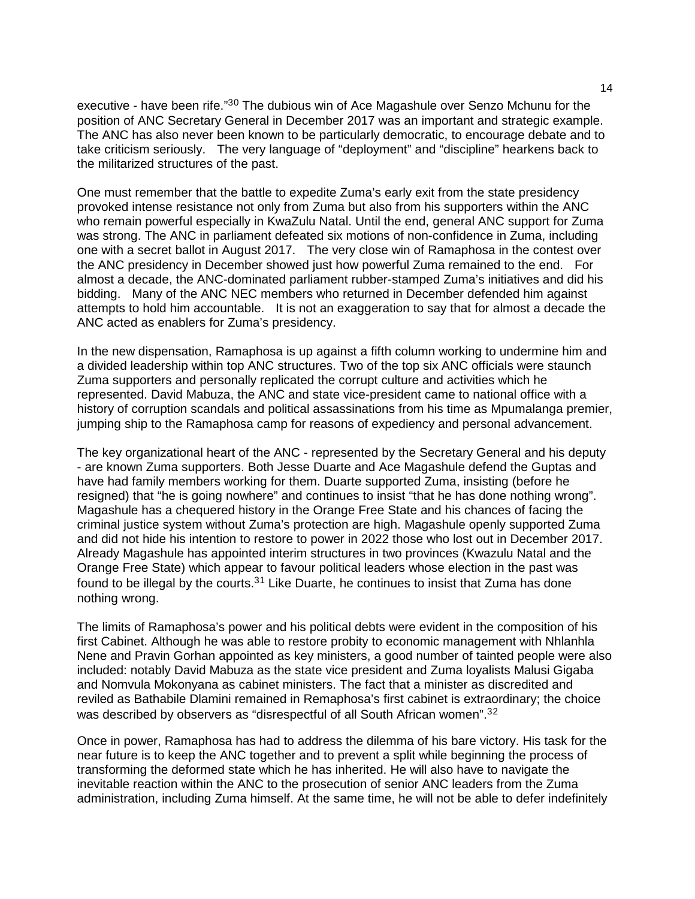executive - have been rife."<sup>3[0](#page-20-14)</sup> The dubious win of Ace Magashule over Senzo Mchunu for the position of ANC Secretary General in December 2017 was an important and strategic example. The ANC has also never been known to be particularly democratic, to encourage debate and to take criticism seriously. The very language of "deployment" and "discipline" hearkens back to the militarized structures of the past.

One must remember that the battle to expedite Zuma's early exit from the state presidency provoked intense resistance not only from Zuma but also from his supporters within the ANC who remain powerful especially in KwaZulu Natal. Until the end, general ANC support for Zuma was strong. The ANC in parliament defeated six motions of non-confidence in Zuma, including one with a secret ballot in August 2017. The very close win of Ramaphosa in the contest over the ANC presidency in December showed just how powerful Zuma remained to the end. For almost a decade, the ANC-dominated parliament rubber-stamped Zuma's initiatives and did his bidding. Many of the ANC NEC members who returned in December defended him against attempts to hold him accountable. It is not an exaggeration to say that for almost a decade the ANC acted as enablers for Zuma's presidency.

In the new dispensation, Ramaphosa is up against a fifth column working to undermine him and a divided leadership within top ANC structures. Two of the top six ANC officials were staunch Zuma supporters and personally replicated the corrupt culture and activities which he represented. David Mabuza, the ANC and state vice-president came to national office with a history of corruption scandals and political assassinations from his time as Mpumalanga premier, jumping ship to the Ramaphosa camp for reasons of expediency and personal advancement.

The key organizational heart of the ANC - represented by the Secretary General and his deputy - are known Zuma supporters. Both Jesse Duarte and Ace Magashule defend the Guptas and have had family members working for them. Duarte supported Zuma, insisting (before he resigned) that "he is going nowhere" and continues to insist "that he has done nothing wrong". Magashule has a chequered history in the Orange Free State and his chances of facing the criminal justice system without Zuma's protection are high. Magashule openly supported Zuma and did not hide his intention to restore to power in 2022 those who lost out in December 2017. Already Magashule has appointed interim structures in two provinces (Kwazulu Natal and the Orange Free State) which appear to favour political leaders whose election in the past was found to be illegal by the courts. $31$  $31$  Like Duarte, he continues to insist that Zuma has done nothing wrong.

The limits of Ramaphosa's power and his political debts were evident in the composition of his first Cabinet. Although he was able to restore probity to economic management with Nhlanhla Nene and Pravin Gorhan appointed as key ministers, a good number of tainted people were also included: notably David Mabuza as the state vice president and Zuma loyalists Malusi Gigaba and Nomvula Mokonyana as cabinet ministers. The fact that a minister as discredited and reviled as Bathabile Dlamini remained in Remaphosa's first cabinet is extraordinary; the choice was described by observers as "disrespectful of all South African women".<sup>3[2](#page-20-16)</sup>

Once in power, Ramaphosa has had to address the dilemma of his bare victory. His task for the near future is to keep the ANC together and to prevent a split while beginning the process of transforming the deformed state which he has inherited. He will also have to navigate the inevitable reaction within the ANC to the prosecution of senior ANC leaders from the Zuma administration, including Zuma himself. At the same time, he will not be able to defer indefinitely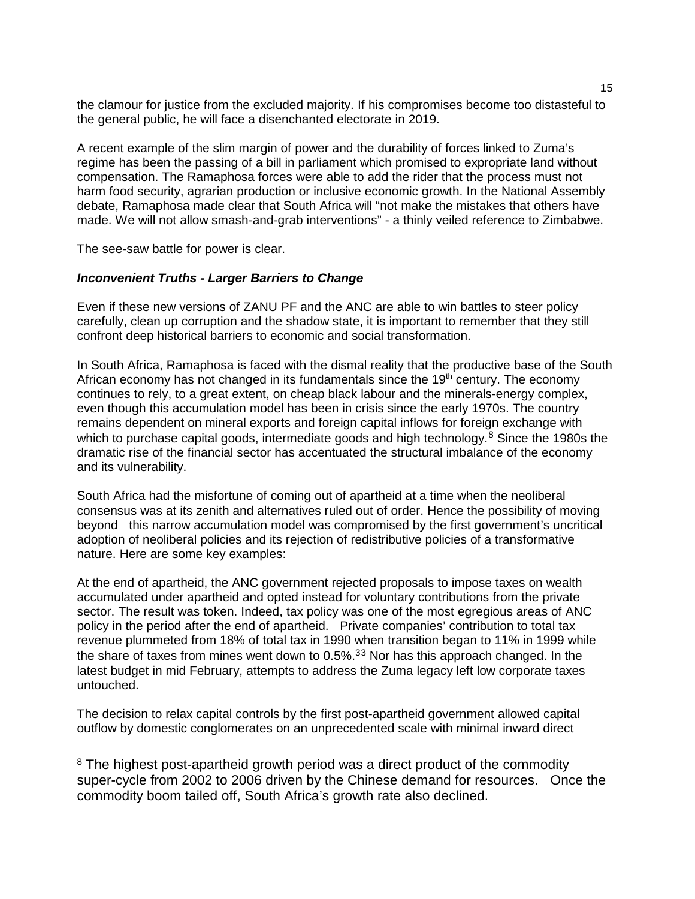the clamour for justice from the excluded majority. If his compromises become too distasteful to the general public, he will face a disenchanted electorate in 2019.

A recent example of the slim margin of power and the durability of forces linked to Zuma's regime has been the passing of a bill in parliament which promised to expropriate land without compensation. The Ramaphosa forces were able to add the rider that the process must not harm food security, agrarian production or inclusive economic growth. In the National Assembly debate, Ramaphosa made clear that South Africa will "not make the mistakes that others have made. We will not allow smash-and-grab interventions" - a thinly veiled reference to Zimbabwe.

The see-saw battle for power is clear.

#### *Inconvenient Truths - Larger Barriers to Change*

Even if these new versions of ZANU PF and the ANC are able to win battles to steer policy carefully, clean up corruption and the shadow state, it is important to remember that they still confront deep historical barriers to economic and social transformation.

In South Africa, Ramaphosa is faced with the dismal reality that the productive base of the South African economy has not changed in its fundamentals since the  $19<sup>th</sup>$  century. The economy continues to rely, to a great extent, on cheap black labour and the minerals-energy complex, even though this accumulation model has been in crisis since the early 1970s. The country remains dependent on mineral exports and foreign capital inflows for foreign exchange with which to purchase capital goods, intermediate goods and high technology. $8$  Since the 1980s the dramatic rise of the financial sector has accentuated the structural imbalance of the economy and its vulnerability.

South Africa had the misfortune of coming out of apartheid at a time when the neoliberal consensus was at its zenith and alternatives ruled out of order. Hence the possibility of moving beyond this narrow accumulation model was compromised by the first government's uncritical adoption of neoliberal policies and its rejection of redistributive policies of a transformative nature. Here are some key examples:

At the end of apartheid, the ANC government rejected proposals to impose taxes on wealth accumulated under apartheid and opted instead for voluntary contributions from the private sector. The result was token. Indeed, tax policy was one of the most egregious areas of ANC policy in the period after the end of apartheid. Private companies' contribution to total tax revenue plummeted from 18% of total tax in 1990 when transition began to 11% in 1999 while the share of taxes from mines went down to  $0.5\%$ .<sup>[3](#page-20-17)3</sup> Nor has this approach changed. In the latest budget in mid February, attempts to address the Zuma legacy left low corporate taxes untouched.

The decision to relax capital controls by the first post-apartheid government allowed capital outflow by domestic conglomerates on an unprecedented scale with minimal inward direct

<span id="page-14-0"></span><sup>&</sup>lt;sup>8</sup> The highest post-apartheid growth period was a direct product of the commodity super-cycle from 2002 to 2006 driven by the Chinese demand for resources. Once the commodity boom tailed off, South Africa's growth rate also declined.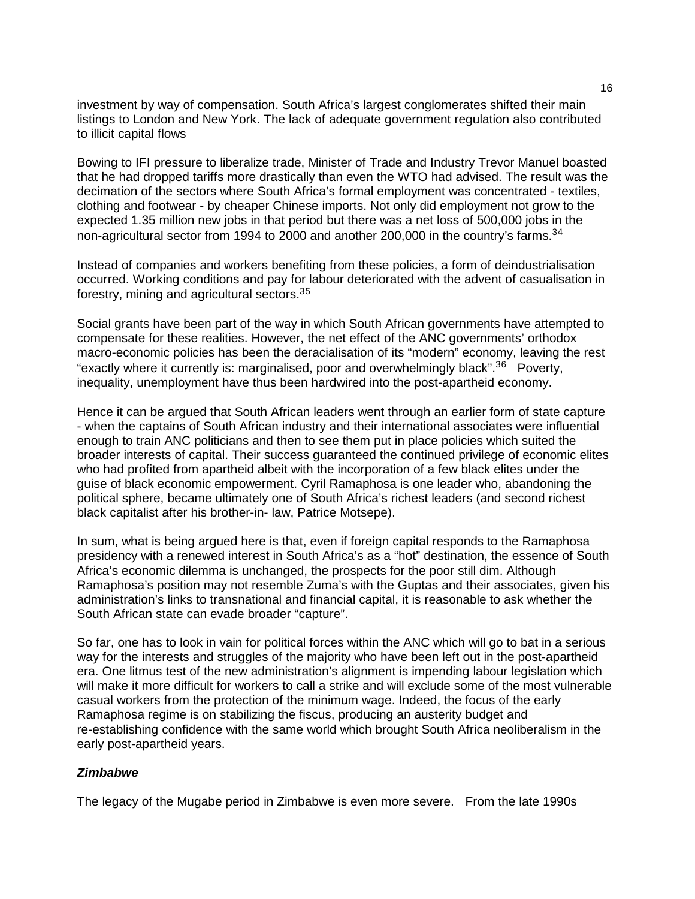investment by way of compensation. South Africa's largest conglomerates shifted their main listings to London and New York. The lack of adequate government regulation also contributed to illicit capital flows

Bowing to IFI pressure to liberalize trade, Minister of Trade and Industry Trevor Manuel boasted that he had dropped tariffs more drastically than even the WTO had advised. The result was the decimation of the sectors where South Africa's formal employment was concentrated - textiles, clothing and footwear - by cheaper Chinese imports. Not only did employment not grow to the expected 1.35 million new jobs in that period but there was a net loss of 500,000 jobs in the non-agricultural sector from 199[4](#page-20-0) to 2000 and another 200,000 in the country's farms.<sup>34</sup>

Instead of companies and workers benefiting from these policies, a form of deindustrialisation occurred. Working conditions and pay for labour deteriorated with the advent of casualisation in forestry, mining and agricultural sectors.3[5](#page-20-18)

Social grants have been part of the way in which South African governments have attempted to compensate for these realities. However, the net effect of the ANC governments' orthodox macro-economic policies has been the deracialisation of its "modern" economy, leaving the rest "exactly where it currently is: marginalised, poor and overwhelmingly black".<sup>3[6](#page-20-2)</sup> Poverty, inequality, unemployment have thus been hardwired into the post-apartheid economy.

Hence it can be argued that South African leaders went through an earlier form of state capture - when the captains of South African industry and their international associates were influential enough to train ANC politicians and then to see them put in place policies which suited the broader interests of capital. Their success guaranteed the continued privilege of economic elites who had profited from apartheid albeit with the incorporation of a few black elites under the guise of black economic empowerment. Cyril Ramaphosa is one leader who, abandoning the political sphere, became ultimately one of South Africa's richest leaders (and second richest black capitalist after his brother-in- law, Patrice Motsepe).

In sum, what is being argued here is that, even if foreign capital responds to the Ramaphosa presidency with a renewed interest in South Africa's as a "hot" destination, the essence of South Africa's economic dilemma is unchanged, the prospects for the poor still dim. Although Ramaphosa's position may not resemble Zuma's with the Guptas and their associates, given his administration's links to transnational and financial capital, it is reasonable to ask whether the South African state can evade broader "capture".

So far, one has to look in vain for political forces within the ANC which will go to bat in a serious way for the interests and struggles of the majority who have been left out in the post-apartheid era. One litmus test of the new administration's alignment is impending labour legislation which will make it more difficult for workers to call a strike and will exclude some of the most vulnerable casual workers from the protection of the minimum wage. Indeed, the focus of the early Ramaphosa regime is on stabilizing the fiscus, producing an austerity budget and re-establishing confidence with the same world which brought South Africa neoliberalism in the early post-apartheid years.

# *Zimbabwe*

The legacy of the Mugabe period in Zimbabwe is even more severe. From the late 1990s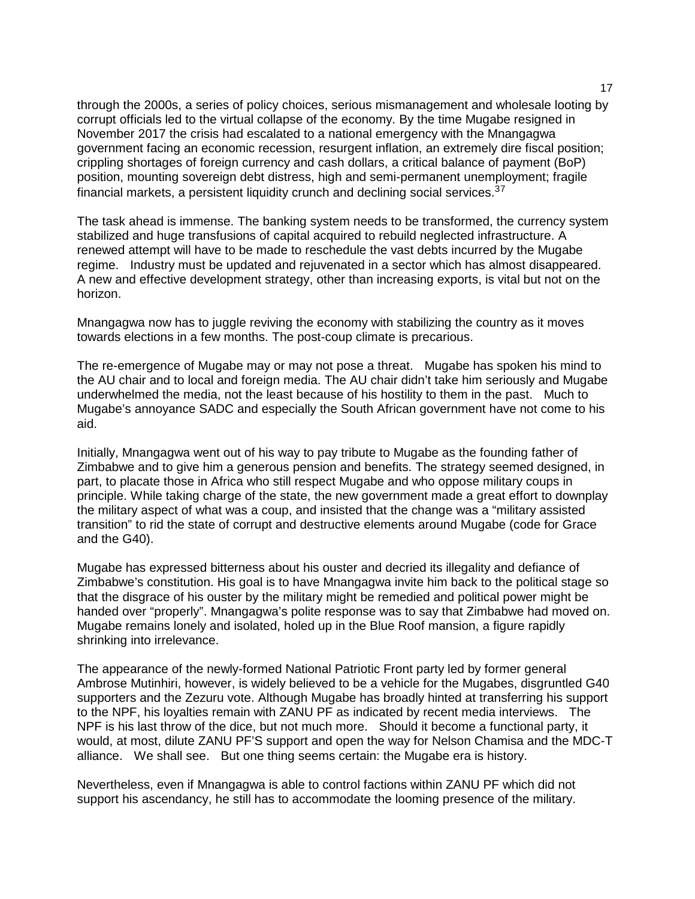through the 2000s, a series of policy choices, serious mismanagement and wholesale looting by corrupt officials led to the virtual collapse of the economy. By the time Mugabe resigned in November 2017 the crisis had escalated to a national emergency with the Mnangagwa government facing an economic recession, resurgent inflation, an extremely dire fiscal position; crippling shortages of foreign currency and cash dollars, a critical balance of payment (BoP) position, mounting sovereign debt distress, high and semi-permanent unemployment; fragile financial markets, a persistent liquidity crunch and declining social services.<sup>3[7](#page-20-19)</sup>

The task ahead is immense. The banking system needs to be transformed, the currency system stabilized and huge transfusions of capital acquired to rebuild neglected infrastructure. A renewed attempt will have to be made to reschedule the vast debts incurred by the Mugabe regime. Industry must be updated and rejuvenated in a sector which has almost disappeared. A new and effective development strategy, other than increasing exports, is vital but not on the horizon.

Mnangagwa now has to juggle reviving the economy with stabilizing the country as it moves towards elections in a few months. The post-coup climate is precarious.

The re-emergence of Mugabe may or may not pose a threat. Mugabe has spoken his mind to the AU chair and to local and foreign media. The AU chair didn't take him seriously and Mugabe underwhelmed the media, not the least because of his hostility to them in the past. Much to Mugabe's annoyance SADC and especially the South African government have not come to his aid.

Initially, Mnangagwa went out of his way to pay tribute to Mugabe as the founding father of Zimbabwe and to give him a generous pension and benefits. The strategy seemed designed, in part, to placate those in Africa who still respect Mugabe and who oppose military coups in principle. While taking charge of the state, the new government made a great effort to downplay the military aspect of what was a coup, and insisted that the change was a "military assisted transition" to rid the state of corrupt and destructive elements around Mugabe (code for Grace and the G40).

Mugabe has expressed bitterness about his ouster and decried its illegality and defiance of Zimbabwe's constitution. His goal is to have Mnangagwa invite him back to the political stage so that the disgrace of his ouster by the military might be remedied and political power might be handed over "properly". Mnangagwa's polite response was to say that Zimbabwe had moved on. Mugabe remains lonely and isolated, holed up in the Blue Roof mansion, a figure rapidly shrinking into irrelevance.

The appearance of the newly-formed National Patriotic Front party led by former general Ambrose Mutinhiri, however, is widely believed to be a vehicle for the Mugabes, disgruntled G40 supporters and the Zezuru vote. Although Mugabe has broadly hinted at transferring his support to the NPF, his loyalties remain with ZANU PF as indicated by recent media interviews. The NPF is his last throw of the dice, but not much more. Should it become a functional party, it would, at most, dilute ZANU PF'S support and open the way for Nelson Chamisa and the MDC-T alliance. We shall see. But one thing seems certain: the Mugabe era is history.

Nevertheless, even if Mnangagwa is able to control factions within ZANU PF which did not support his ascendancy, he still has to accommodate the looming presence of the military.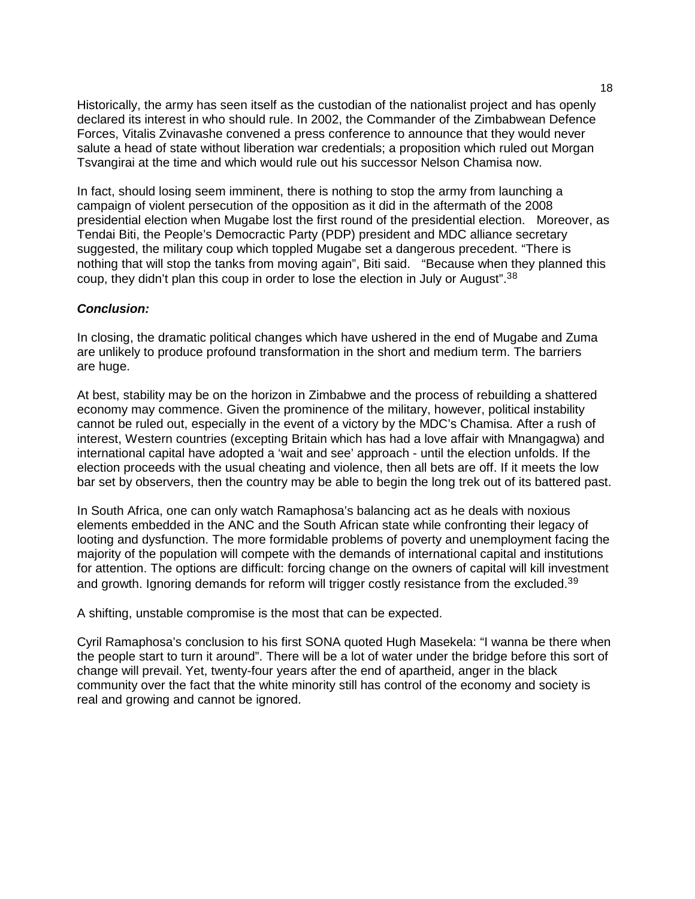Historically, the army has seen itself as the custodian of the nationalist project and has openly declared its interest in who should rule. In 2002, the Commander of the Zimbabwean Defence Forces, Vitalis Zvinavashe convened a press conference to announce that they would never salute a head of state without liberation war credentials; a proposition which ruled out Morgan Tsvangirai at the time and which would rule out his successor Nelson Chamisa now.

In fact, should losing seem imminent, there is nothing to stop the army from launching a campaign of violent persecution of the opposition as it did in the aftermath of the 2008 presidential election when Mugabe lost the first round of the presidential election. Moreover, as Tendai Biti, the People's Democractic Party (PDP) president and MDC alliance secretary suggested, the military coup which toppled Mugabe set a dangerous precedent. "There is nothing that will stop the tanks from moving again", Biti said. "Because when they planned this coup, they didn't plan this coup in order to lose the election in July or August".<sup>3[8](#page-20-20)</sup>

# *Conclusion:*

In closing, the dramatic political changes which have ushered in the end of Mugabe and Zuma are unlikely to produce profound transformation in the short and medium term. The barriers are huge.

At best, stability may be on the horizon in Zimbabwe and the process of rebuilding a shattered economy may commence. Given the prominence of the military, however, political instability cannot be ruled out, especially in the event of a victory by the MDC's Chamisa. After a rush of interest, Western countries (excepting Britain which has had a love affair with Mnangagwa) and international capital have adopted a 'wait and see' approach - until the election unfolds. If the election proceeds with the usual cheating and violence, then all bets are off. If it meets the low bar set by observers, then the country may be able to begin the long trek out of its battered past.

In South Africa, one can only watch Ramaphosa's balancing act as he deals with noxious elements embedded in the ANC and the South African state while confronting their legacy of looting and dysfunction. The more formidable problems of poverty and unemployment facing the majority of the population will compete with the demands of international capital and institutions for attention. The options are difficult: forcing change on the owners of capital will kill investment and growth. Ignoring demands for reform will trigger costly resistance from the excluded.<sup>3[9](#page-20-21)</sup>

A shifting, unstable compromise is the most that can be expected.

Cyril Ramaphosa's conclusion to his first SONA quoted Hugh Masekela: "I wanna be there when the people start to turn it around". There will be a lot of water under the bridge before this sort of change will prevail. Yet, twenty-four years after the end of apartheid, anger in the black community over the fact that the white minority still has control of the economy and society is real and growing and cannot be ignored.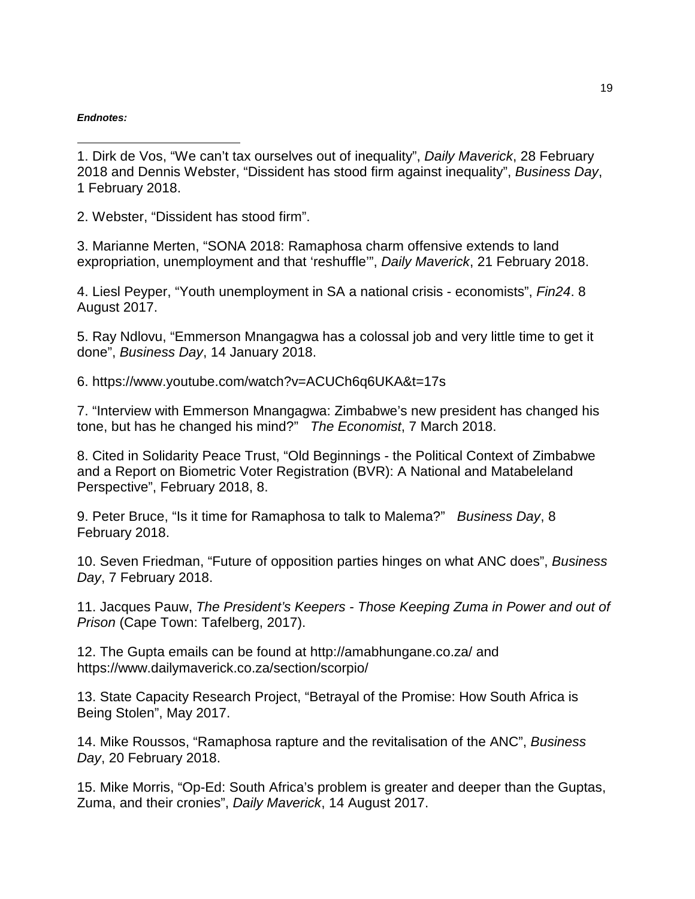#### *Endnotes:*

j 1. Dirk de Vos, "We can't tax ourselves out of inequality", *Daily Maverick*, 28 February 2018 and Dennis Webster, "Dissident has stood firm against inequality", *Business Day*, 1 February 2018.

2. Webster, "Dissident has stood firm".

3. Marianne Merten, "SONA 2018: Ramaphosa charm offensive extends to land expropriation, unemployment and that 'reshuffle'", *Daily Maverick*, 21 February 2018.

4. Liesl Peyper, "Youth unemployment in SA a national crisis - economists", *Fin24*. 8 August 2017.

5. Ray Ndlovu, "Emmerson Mnangagwa has a colossal job and very little time to get it done", *Business Day*, 14 January 2018.

6. https://www.youtube.com/watch?v=ACUCh6q6UKA&t=17s

7. "Interview with Emmerson Mnangagwa: Zimbabwe's new president has changed his tone, but has he changed his mind?" *The Economist*, 7 March 2018.

8. Cited in Solidarity Peace Trust, "Old Beginnings - the Political Context of Zimbabwe and a Report on Biometric Voter Registration (BVR): A National and Matabeleland Perspective", February 2018, 8.

9. Peter Bruce, "Is it time for Ramaphosa to talk to Malema?" *Business Day*, 8 February 2018.

10. Seven Friedman, "Future of opposition parties hinges on what ANC does", *Business Day*, 7 February 2018.

11. Jacques Pauw, *The President's Keepers - Those Keeping Zuma in Power and out of Prison* (Cape Town: Tafelberg, 2017).

12. The Gupta emails can be found at http://amabhungane.co.za/ and https://www.dailymaverick.co.za/section/scorpio/

13. State Capacity Research Project, "Betrayal of the Promise: How South Africa is Being Stolen", May 2017.

14. Mike Roussos, "Ramaphosa rapture and the revitalisation of the ANC", *Business Day*, 20 February 2018.

15. Mike Morris, "Op-Ed: South Africa's problem is greater and deeper than the Guptas, Zuma, and their cronies", *Daily Maverick*, 14 August 2017.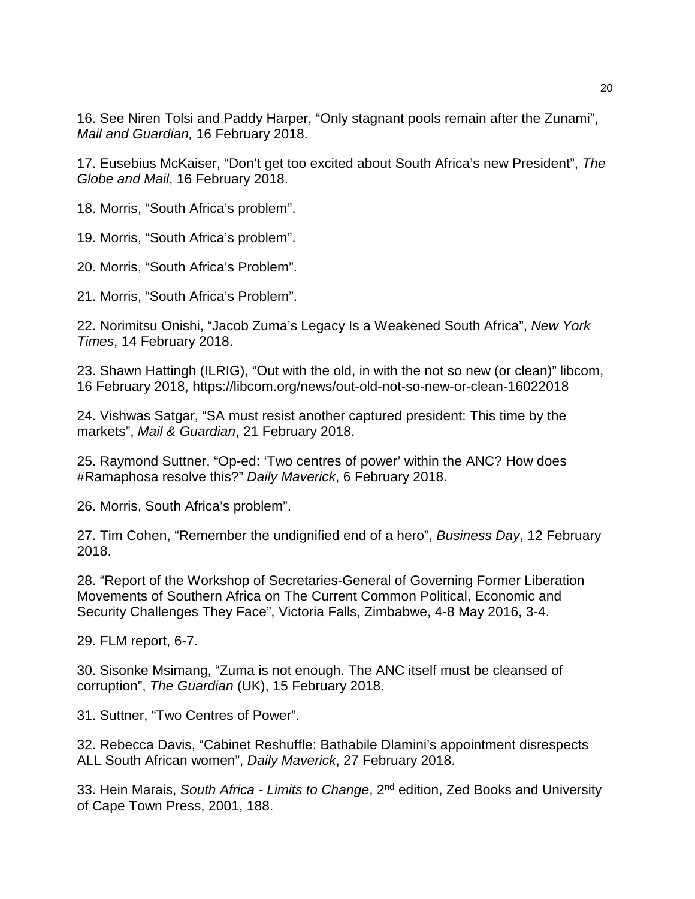j 16. See Niren Tolsi and Paddy Harper, "Only stagnant pools remain after the Zunami", *Mail and Guardian,* 16 February 2018.

<span id="page-19-0"></span>17. Eusebius McKaiser, "Don't get too excited about South Africa's new President", *The Globe and Mail*, 16 February 2018.

<span id="page-19-1"></span>18. Morris, "South Africa's problem".

<span id="page-19-2"></span>19. Morris, "South Africa's problem".

20. Morris, "South Africa's Problem".

<span id="page-19-3"></span>21. Morris, "South Africa's Problem".

<span id="page-19-4"></span>22. Norimitsu Onishi, "Jacob Zuma's Legacy Is a Weakened South Africa", *New York Times*, 14 February 2018.

<span id="page-19-5"></span>23. Shawn Hattingh (ILRIG), "Out with the old, in with the not so new (or clean)" libcom, 16 February 2018, https://libcom.org/news/out-old-not-so-new-or-clean-16022018

<span id="page-19-6"></span>24. Vishwas Satgar, "SA must resist another captured president: This time by the markets", *Mail & Guardian*, 21 February 2018.

<span id="page-19-7"></span>25. Raymond Suttner, "Op-ed: 'Two centres of power' within the ANC? How does #Ramaphosa resolve this?" *Daily Maverick*, 6 February 2018.

<span id="page-19-8"></span>26. Morris, South Africa's problem".

27. Tim Cohen, "Remember the undignified end of a hero", *Business Day*, 12 February 2018.

<span id="page-19-10"></span><span id="page-19-9"></span>28. "Report of the Workshop of Secretaries-General of Governing Former Liberation Movements of Southern Africa on The Current Common Political, Economic and Security Challenges They Face", Victoria Falls, Zimbabwe, 4-8 May 2016, 3-4.

<span id="page-19-11"></span>29. FLM report, 6-7.

30. Sisonke Msimang, "Zuma is not enough. The ANC itself must be cleansed of corruption", *The Guardian* (UK), 15 February 2018.

<span id="page-19-12"></span>31. Suttner, "Two Centres of Power".

<span id="page-19-13"></span>32. Rebecca Davis, "Cabinet Reshuffle: Bathabile Dlamini's appointment disrespects ALL South African women", *Daily Maverick*, 27 February 2018.

<span id="page-19-14"></span>33. Hein Marais, *South Africa - Limits to Change*, 2nd edition, Zed Books and University of Cape Town Press, 2001, 188.